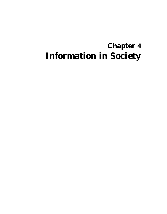# **Chapter 4 Information in Society**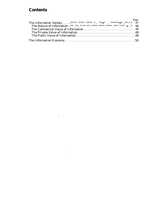# **Contents**

 $\mathcal{L}(\mathcal{L})$  and  $\mathcal{L}(\mathcal{L})$  .

 $\mathbf{m}$ 

| Page<br>The Information Society*****************e******e***.*.*. 47<br>The Nature of Information .**. **. *.** *** **** **** .*** .*.* .e * 48 |  |
|------------------------------------------------------------------------------------------------------------------------------------------------|--|
|                                                                                                                                                |  |
|                                                                                                                                                |  |
|                                                                                                                                                |  |
|                                                                                                                                                |  |
|                                                                                                                                                |  |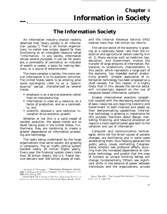# **The Information Society**

An information industry analyst recently observed that "every society is an information society." That is, all human organizations, no matter how simple, depend for their functioning on an intangible resource called "information. In any society, information serves several purposes. It can be, for example, a commodity of commerce, an indicator of wealth or power, a basis for making decisions, or a source of entertainment.

The more complex a society, the more central information is to its economic activities. The United States seems to be entering what some sociologists refer to as a "postindustrial" period,<sup>2</sup> characterized by several trends:

- emphasis is on a service economy rather than on manufacturing;
- information is used as a resource, as a factor of production, and as a commodity; and
- scientific discover-y and technical innovation drive economic growth.

Whether or not this is a valid model of societal evolution, the above trends are no doubt taking place in the United States. Furthermore, they are combining to create a greater dependence on information processing and technology.

The tasks being undertaken by the large organizations that serve society are growing in complexity. The air traffic control system handles nearly 20 million flights yearly. Every year the financial system clears more than 30 billion checks, the U.S. Postal Service delivers over 100 billion pieces of mail,

and the Internal Revenue Service (IRS) receives more than 140 million tax returns.

The service sector of the economy is growing at a relatively faster rate than the industrial and agricultural sectors (see fig. 6 in ch. 1). Many services such as medicine, law, education, and Government involve the transfer of large amounts of information. Resistance to productivity improvements in this sector, which represents a large part of the economy, has impeded overall productivity growth. Greater application of information technology has been proposed as a chief remedy. For this reason, it is highly likely that in this decade the service sector will increasingly depend on the use of computer-based information systems.

Greater international economic competition coupled with the decreasing availability of basic resources are requiring industry and Government to both improve and speed up their decision making capabilities. Information technology is growing in importance for this purpose. Decisions about design, marketing, financing, and resource allocation all require a more sophisticated approach to the collection and use of information.

Computer and communication technologies, while not the direct causes of societal changes, are facilitating and in some cases accelerating them, thus helping generate the public policy issues confronting Congress. Some scholars see profound effects occurring from the increased dependence on computer technology, and predict that the view of humans as unique thinking beings will change fundamentally. Others see significant shifts in the balance of power between individuals and the organizations, private

I Anthony G. Oettinger, "Information Resources: Knowledge a ndPower in the 21st Century. Science Magazine, vol. 209, July 1980, p. 191.

<sup>&</sup>lt;sup>2</sup>Daniel Bell, The Coming of the Post Industrial Society. A Venture in Social Forecasting (New York: Basic Books, 1973).

<sup>&#</sup>x27;Bruce Mazlich, "The Fourth Discontinuity " Technology and  $\int u \, du$  re  $8$ , pp 1-15,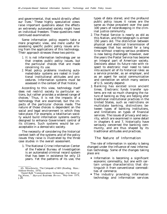and governmental, that would directly affect our lives.' These highly speculative views raise important questions about the effects an extremely automated society might have on individual freedom. These questions need continued examination.

Some information policy experts take a more pragmatic view, one more useful for assessing specific public policy issues arising from the applications of this technology. Their approach stresses these two points:

- 1. It is not information technology per se that creates public policy issues, but the particular choices that are made concerning its use.
- 2. Most policy problems involving automated-data- systems are rooted in traditional institutional attitudes and procedures. Information systems must be assessed in the context of that history.

According to this view, technology itself does not restrict society to particular actions, but rather provides a widened range of choices.' Thus, it is not the impacts of a technology that are examined, but the impacts of the particular choices made. The nature of those choices is dependent on the social and legal environment in which they take place. For example, a totalitarian society would build information systems overtly designed to enhance Government control of its citizens. Such systems would be unacceptable in a democratic society.

The necessity of considering the historical context both of the systems and of the policy issues they raise is illustrated by the three case studies in the overall assessment.

1. The National Crime Information Center of the Federal Bureau of Investigation is an automated criminal record system that has been in existence for only 13 years. Yet the patterns of its use, the

types of data stored, and the profound public policy issues it raises are the same as those prevalent over the past 100 years of recordkeeping in the criminal justice community.

- 2. The Postal Service is nearly as old as this Nation, and the telegraph is almost 150 years old. The distinction between physical and electrical transmission of messages that has existed for a long time without creating serious problems is now being challenged. However, over the years the Postal Service has become an integral part of American society. Decisions about its future role with respect to electronic mail need to take into account all of its historical roles: as a service provider, as an employer, and as an agent for social communication and connection on which many sectors of U.S. society depend.
- 3. Banking has existed since ancient times. Electronic funds transfer systems are not so much changing the nature of banking as they are helping alter traditional institutional practices in the United States, such as restrictions on multistate banking, distinctions between types of banking institutions, and limitations on types of financial services. The issues of privacy and security, which are examined in some detail in chapters 6 and 7, historically have seriously concerned the banking community, and are thus shaped by its traditional attitudes and practices.

## The Nature of Information

The role of information in society is being changed under the influence of new information technology. Some of the changes taking place are:

- Information is becoming a significant economic commodity, but one with certain unique characteristics that distinguish it from conventional commodities of commerce.
- The industry providing information technology and information services

<sup>4</sup>A. Mowshowitz, *The Conquest of Will* (Reading, Mass.: Addison-Wesley, 1976).

<sup>&#</sup>x27;Daniel Bell, "Communications Technology—For Better or For Worse, " *Harvard Business Review*, May-June 1979, p. 20.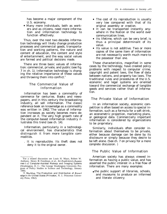has become a major component of the U.S. economy.

c Many more individuals, both as workers and as citizens, need more information and information technology to function effectively.

Thus, over the next two decades information technology will likely change production processes and commercial goods, transportation and working patterns, the nature and content of education, the content and style of entertainment, and the way social values are formed and political decisions made.

There are three basic values of information: commercial, private, and public (see fig. 7 in ch. 1). Information technology is changing the relative importance of these values and throwing them into conflict.<sup>6</sup>

## The Commercial Value of Information

Information has been a commodity of commerce for centuries. Books and newspapers, and in this century the broadcasting industry, all sell information. The classic reference book on knowledge as a commodity was written in 1962. The value of information increases as society becomes more dependent on it. The very high growth rate of the computer-based information industry illustrates this trend (see ch. 14).

Information, particularly in a technological environment, has characteristics that distinguish it from more tangible commodities.

. It is reproducible. Its theft does not deny it to the original owner.

—

- The cost of its reproduction is usually very low compared with that of its original assembly or creation.
- It can be transported instantly anywhere in the Nation or the world over communication lines.
- Its lifetime, which can be very brief, is thus a principal determinant of its value.
- Its value is not additive. Two or more copies of the same item of information are not necessarily worth much more to the possessor than one.

These characteristics, magnified in some cases by the technology, have created policy problems with respect to computer crime, copyright and patent laws, the flow of data between nations, and property tax laws. The traditional rules and procedures of the U.S. economic and legal systems are oriented toward the commercial exchange of tangible goods and services rather than of information.

## The Private Value of Information

In an information society, economic competition is often based on access to special information, such as a formula for a soft drink, an econometric projection, marketing plans, or geological data. Commercially important information is considered by organizations to be proprietary.

Similarly, individuals often consider information about themselves to be private, either because damage can be done by its disclosure or simply because they desire to be left alone. (See ch. 7 on privacy for a more complete discussion. )

## The Public Value of Information

American society has always viewed information as having a public value, and has asserted the public interest in a free flow of information. There are many examples:

• the public support of libraries, schools, and museums to produce an informed and literate citizenry;

<sup>6</sup> For a related discussion see Louis H. Mayo, Robert W. Anthony, Henry B. Freedman, et al., *An Explomtory Assessmen t of Computer-Assisted Makeup and Imaging Systems* (Washington, D. C.: The George Washington University Program of Policy Studies in Science and Technology, January 1980).

<sup>&#</sup>x27;F. Machlup, *The Production and Distribution of Knowledge in the United States (Princeton,* N. J.: Princeton University Press, 1962).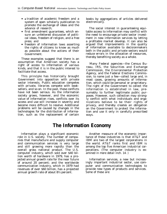- **a** tradition of academic freedom and a system of open scholarly publication to promote the exchange of ideas and the advance of research;
- first amendment guarantees, which ensure an unfettered discussion of political ideas, freedom of religion, and a free press; and
- freedom of information laws asserting the rights of citizens to know as much as possible about the actions of their Government.

These examples suggest that there is an assumption that American society has a right of access to information of various kinds, and that it is in the public interest to facilitate that access.

This principle has historically brought Government into opposition with private sector interests. Public education competes with private, libraries compete with booksellers, and so on. In the past, these conflicts have not been serious. As the information society grows, however, and the economic value of information rises, conflicts over its access and use will increase in severity and become more difficult to resolve. Additional problems will be caused by changes in the technologies for the distribution of information, such as the replacement of certain

books by aggregations of articles delivered electronically.

The social interest in guaranteeing equitable access to information may conflict with the need to encourage private sector investment in new information services by letting a profitable market develop. It can also be argued that improvements in the quality of information available to decisionmakers both in the public and private sectors would reduce errors in the allocation of resources, thereby benefiting society as a whole.

Many Federal agencies—the Census Bureau, IRS, the Securities and Exchange Commission, the Environmental Protection Agency, and the Federal Elections Commission, to name just a few—collect large and, in most cases, growing amounts of information, which could be personal or proprietary. The right of the Government to collect the information is established in law, presumably to further legitimate public purposes. However, such collection may strongly conflict with what individuals and organizations believe to be their rights of privacy, and thereby creates an obligation on the Government to protect the information and use it only in carefully prescribed ways.

## **The Information Economy**

Information plays a significant economic role in U.S. society. The number of companies that manufacture and supply computer and communication services is very large and still growing more rapidly than the overall gross national product. The U.S. computer industry, which sold over \$40 billion worth of hardware in 1979, has a projected annual growth rate for the near future of around 20 percent; and the worldwide communication industry, which in 1979 had revenues of over \$60 billion, has a projected annual growth rate of about 8½ percent.

Another measure of the economic importance of these industries is that AT&T and IBM are two of the largest corporations in the world. AT&T ranks first and IBM is among the top five American industrial corporations. (The computer industry is examined in more detail inch. 14. )

Information services, a new but increasingly important industrial sector, use computer and communication technologies to provide new types of products and services. Some of these are: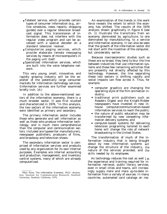- Teletext service, which provides certain types of consumer information (e.g., airline schedules, news reports, shopping guides) over a regular television broadcast signal. This transmission of information does not interfere with the regular video program and can be accessed with a special decoder on a standard television receiver.
- Computerize paging services, which provide elaborate remote messaging services by means of microcomputers in the paging unit itself.
- Specialized information services, which are built into the voice telephone network.

This very young, small, innovative, and rapidly growing industry will be the exploiter of the potentially large consumer markets for information technology services. (Information services are further examined briefly inch. 14.)

In addition to the above-mentioned sectors of the information economy, there is a much broader sector. It *was* first studied and characterized in 1976.  $R$ In this analysis, the two sectors of the information economy were identified as primary and secondary.

The primary information sector includes those who generate and sell information as well as those who produce information technology, and is much more comprehensive than the computer and communication sectors. Included are typewriter manufacturers, newspaper publishers, producers of films, and broadway and television shows.

The secondary information sector is comprised of information services and products used by any organization for its own internal purposes. Examples are internal accounting and production, management, and inventory control systems, many of which are already computerized.

An examination of the trends in the work force reveals the extent to which the economy has shifted. The results of the 1976 analysis shown graphically in figure 6 (see ch. 1) illustrate the transitions from an economy dominated by agriculture, to one dominated by manufacturing, to a service and information economy. It can also be seen that the growth of the information sector did not start with the invention of the computer, but considerably earlier.

Because macroeconomic studies such as these are so broad, they tend to blur the line between industries that use information systems and those few remaining activities that are presently not directly affected by this technology. However, the line separating these two sectors is shifting rapidly and social impacts can flow across it. Thus, for example:

- computer graphics are changing the operating style of the film animation industry;
- traditional print publishers such as Readers Digest and the Knight-Ridder newspapers have invested in new inhouse computer/communication-based information services to reach the public;
- the nature of public education may be transformed by new competing information delivery systems; and
- computer-based systems for delivering television programing tailored to each home will change the role of network broadcasting in the United States.

The transformation of much of the information industry that is being brought about by new information systems will change the structure of the industry, the nature of the services provided, and the skills needed by its employees.

As technology reduces the cost as well 1 as the experience and training required for information retrieval, public library services, even in small cities and towns, will increasingly supply more and more up-to-date information from a variety of sources. In many countries, automated card catalogs on ma-

<sup>&</sup>quot;Marc Porat, *The Information Economy',* Ph.D. dissertation, Institute for Communication Research, Stanford University, Stanford, California, 1976.